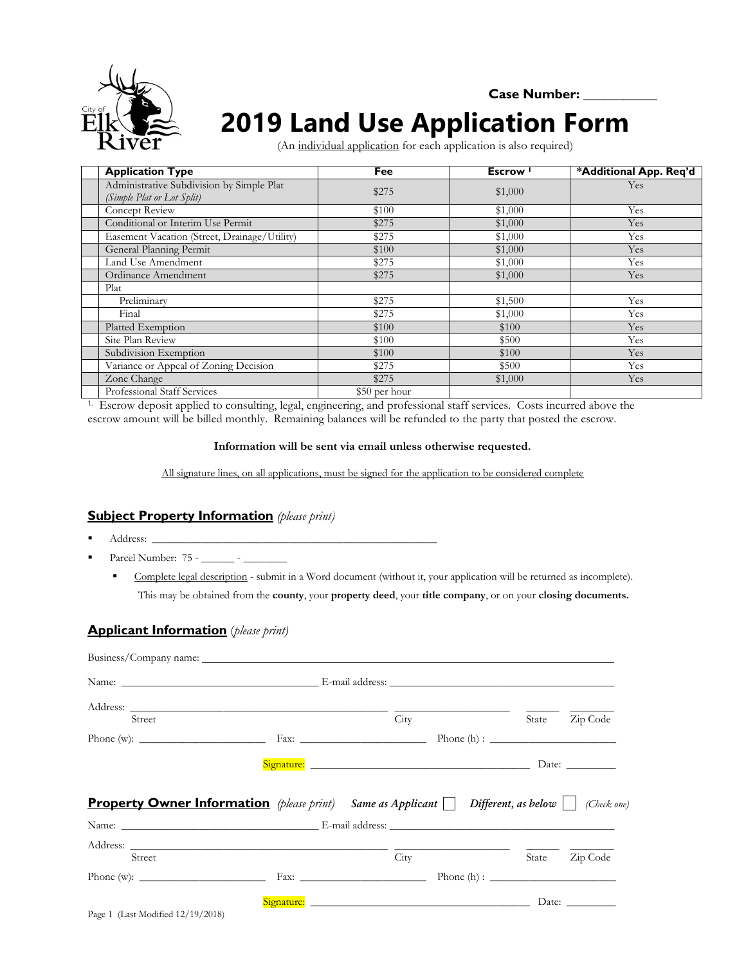

#### **Case Number: \_\_\_\_\_\_\_\_\_\_\_**

# **2019 Land Use Application Form**

(An individual application for each application is also required)

| <b>Application Type</b>                                                 | Fee           | Escrow <sup>1</sup> | *Additional App. Req'd |
|-------------------------------------------------------------------------|---------------|---------------------|------------------------|
| Administrative Subdivision by Simple Plat<br>(Simple Plat or Lot Split) | \$275         | \$1,000             | Yes                    |
| Concept Review                                                          | \$100         | \$1,000             | Yes                    |
| Conditional or Interim Use Permit                                       | \$275         | \$1,000             | Yes                    |
| Easement Vacation (Street, Drainage/Utility)                            | \$275         | \$1,000             | Yes                    |
| General Planning Permit                                                 | \$100         | \$1,000             | Yes                    |
| Land Use Amendment                                                      | \$275         | \$1,000             | Yes                    |
| Ordinance Amendment                                                     | \$275         | \$1,000             | Yes                    |
| Plat                                                                    |               |                     |                        |
| Preliminary                                                             | \$275         | \$1,500             | Yes                    |
| Final                                                                   | \$275         | \$1,000             | Yes                    |
| Platted Exemption                                                       | \$100         | \$100               | <b>Yes</b>             |
| Site Plan Review                                                        | \$100         | \$500               | Yes                    |
| Subdivision Exemption                                                   | \$100         | \$100               | Yes                    |
| Variance or Appeal of Zoning Decision                                   | \$275         | \$500               | Yes                    |
| Zone Change                                                             | \$275         | \$1,000             | Yes                    |
| Professional Staff Services                                             | \$50 per hour |                     |                        |

1. Escrow deposit applied to consulting, legal, engineering, and professional staff services. Costs incurred above the escrow amount will be billed monthly. Remaining balances will be refunded to the party that posted the escrow.

#### **Information will be sent via email unless otherwise requested.**

All signature lines, on all applications, must be signed for the application to be considered complete

#### **Subject Property Information** *(please print)*

- Address: \_\_\_\_\_\_\_\_\_\_\_\_\_\_\_\_\_\_\_\_\_\_\_\_\_\_\_\_\_\_\_\_\_\_\_\_\_\_\_\_\_\_\_\_\_\_\_\_\_\_\_\_
- Parcel Number: 75 \_\_\_\_\_\_ \_\_\_\_\_\_\_\_
	- Complete legal description submit in a Word document (without it, your application will be returned as incomplete). This may be obtained from the **county**, your **property deed**, your **title company**, or on your **closing documents.**

#### **Applicant Information** (*please print)*

| Street |                                                                                                      | City | State | Zip Code                |
|--------|------------------------------------------------------------------------------------------------------|------|-------|-------------------------|
|        |                                                                                                      |      |       |                         |
|        |                                                                                                      |      |       |                         |
|        |                                                                                                      |      |       |                         |
|        | <b>Property Owner Information</b> (please print) Same as Applicant $\Box$ Different, as below $\Box$ |      |       |                         |
|        | Name: E-mail address:                                                                                |      |       |                         |
| Street |                                                                                                      | City | State | (Check one)<br>Zip Code |
|        |                                                                                                      |      |       |                         |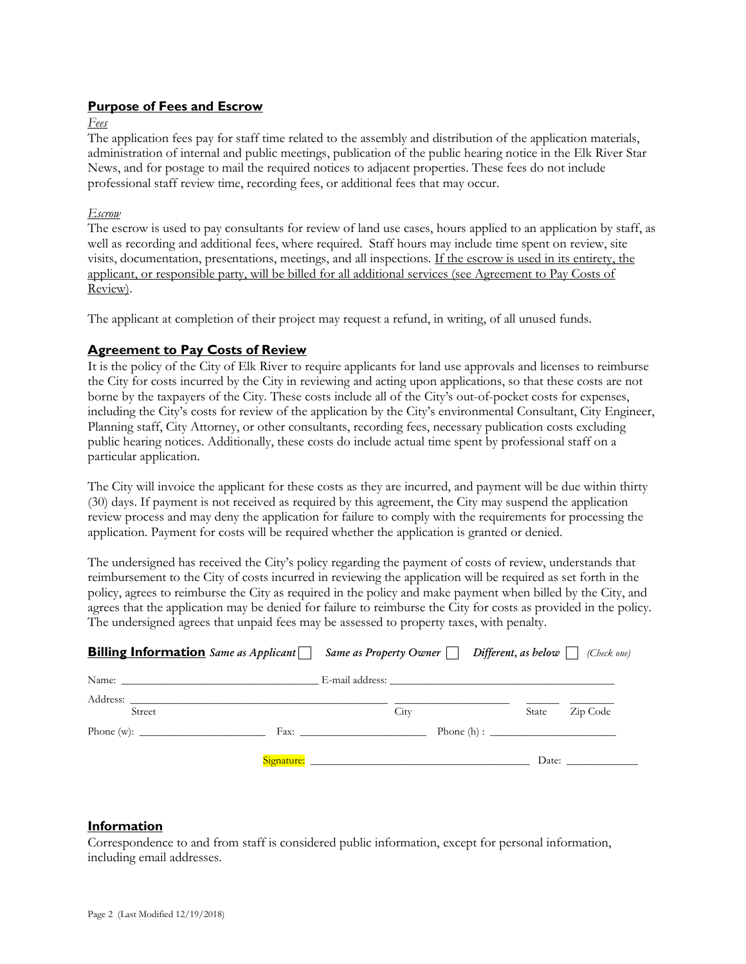#### **Purpose of Fees and Escrow**

*Fees*

The application fees pay for staff time related to the assembly and distribution of the application materials, administration of internal and public meetings, publication of the public hearing notice in the Elk River Star News, and for postage to mail the required notices to adjacent properties. These fees do not include professional staff review time, recording fees, or additional fees that may occur.

#### *Escrow*

The escrow is used to pay consultants for review of land use cases, hours applied to an application by staff, as well as recording and additional fees, where required. Staff hours may include time spent on review, site visits, documentation, presentations, meetings, and all inspections. If the escrow is used in its entirety, the applicant, or responsible party, will be billed for all additional services (see Agreement to Pay Costs of Review).

The applicant at completion of their project may request a refund, in writing, of all unused funds.

#### **Agreement to Pay Costs of Review**

It is the policy of the City of Elk River to require applicants for land use approvals and licenses to reimburse the City for costs incurred by the City in reviewing and acting upon applications, so that these costs are not borne by the taxpayers of the City. These costs include all of the City's out-of-pocket costs for expenses, including the City's costs for review of the application by the City's environmental Consultant, City Engineer, Planning staff, City Attorney, or other consultants, recording fees, necessary publication costs excluding public hearing notices. Additionally, these costs do include actual time spent by professional staff on a particular application.

The City will invoice the applicant for these costs as they are incurred, and payment will be due within thirty (30) days. If payment is not received as required by this agreement, the City may suspend the application review process and may deny the application for failure to comply with the requirements for processing the application. Payment for costs will be required whether the application is granted or denied.

The undersigned has received the City's policy regarding the payment of costs of review, understands that reimbursement to the City of costs incurred in reviewing the application will be required as set forth in the policy, agrees to reimburse the City as required in the policy and make payment when billed by the City, and agrees that the application may be denied for failure to reimburse the City for costs as provided in the policy. The undersigned agrees that unpaid fees may be assessed to property taxes, with penalty.

| <b>Billing Information</b> Same as Applicant $\Box$ Same as Property Owner $\Box$ Different, as below $\Box$ (Check one) |      |       |          |
|--------------------------------------------------------------------------------------------------------------------------|------|-------|----------|
|                                                                                                                          |      |       |          |
| Address:<br>Street                                                                                                       | City | State | Zip Code |
| Phone (w): $\frac{1}{\sqrt{1-\frac{1}{2}} \cdot \frac{1}{2}}$                                                            |      |       |          |
|                                                                                                                          |      |       | Date:    |

#### **Information**

Correspondence to and from staff is considered public information, except for personal information, including email addresses.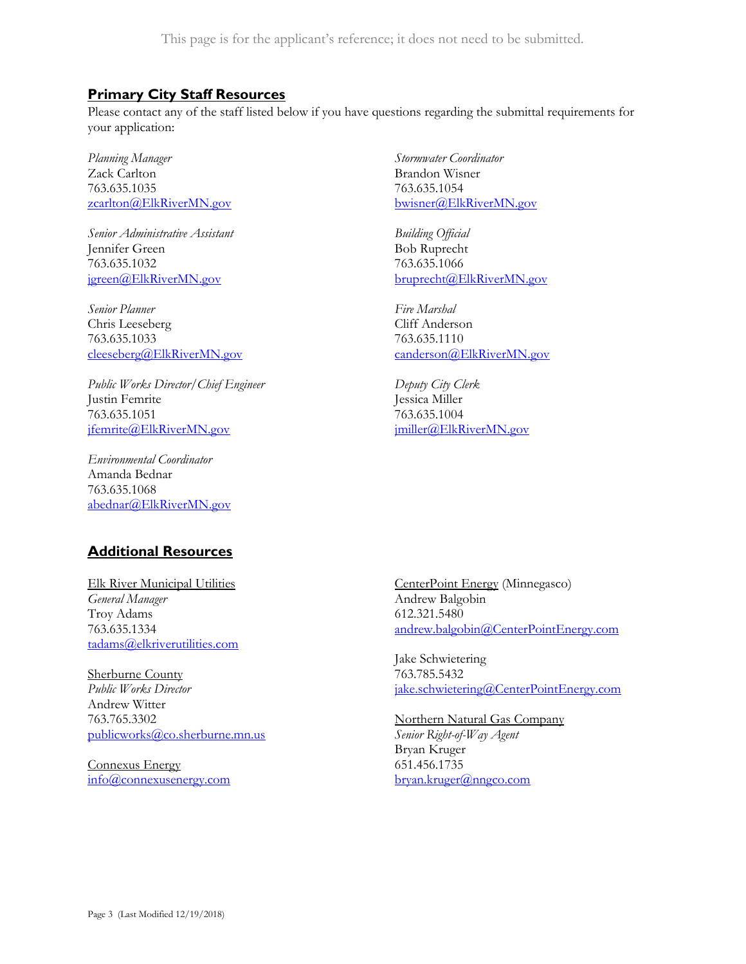This page is for the applicant's reference; it does not need to be submitted.

#### **Primary City Staff Resources**

Please contact any of the staff listed below if you have questions regarding the submittal requirements for your application:

*Planning Manager* Zack Carlton 763.635.1035 [zcarlton@ElkRiverMN.gov](mailto:zcarlton@ElkRiverMN.gov)

*Senior Administrative Assistant* Jennifer Green 763.635.1032 [jgreen@ElkRiverMN.gov](mailto:jgreen@ElkRiverMN.gov)

*Senior Planner* Chris Leeseberg 763.635.1033 [cleeseberg@ElkRiverMN.gov](mailto:cleeseberg@ElkRiverMN.gov) 

*Public Works Director/Chief Engineer* Justin Femrite 763.635.1051 [jfemrite@ElkRiverMN.gov](mailto:jfemrite@ElkRiverMN.gov)

*Environmental Coordinator* Amanda Bednar 763.635.1068 [abednar@ElkRiverMN.gov](mailto:abednar@ElkRiverMN.gov) *Stormwater Coordinator* Brandon Wisner 763.635.1054 [bwisner@ElkRiverMN.gov](mailto:bwisner@ElkRiverMN.gov)

*Building Official* Bob Ruprecht 763.635.1066 [bruprecht@ElkRiverMN.gov](mailto:bruprecht@ElkRiverMN.gov)

*Fire Marshal* Cliff Anderson 763.635.1110 [canderson@ElkRiverMN.gov](mailto:canderson@ElkRiverMN.gov)

*Deputy City Clerk* Jessica Miller 763.635.1004 [jmiller@ElkRiverMN.gov](mailto:jmiller@ElkRiverMN.gov)

#### **Additional Resources**

Elk River Municipal Utilities *General Manager* Troy Adams 763.635.1334 [tadams@elkriverutilities.com](mailto:tadams@elkriverutilities.com)

Sherburne County *Public Works Director* Andrew Witter 763.765.3302 [publicworks@co.sherburne.mn.us](mailto:publicworks@co.sherburne.mn.us)

Connexus Energy [info@connexusenergy.com](mailto:info@connexusenergy.com) CenterPoint Energy (Minnegasco) Andrew Balgobin 612.321.5480 [andrew.balgobin@CenterPointEnergy.com](mailto:andrew.balgobin@CenterPointEnergy.com)

Jake Schwietering 763.785.5432 [jake.schwietering@CenterPointEnergy.com](mailto:jake.schwietering@CenterPointEnergy.com)

Northern Natural Gas Company *Senior Right-of-Way Agent* Bryan Kruger 651.456.1735 [bryan.kruger@nngco.com](mailto:bryan.kruger@nngco.com)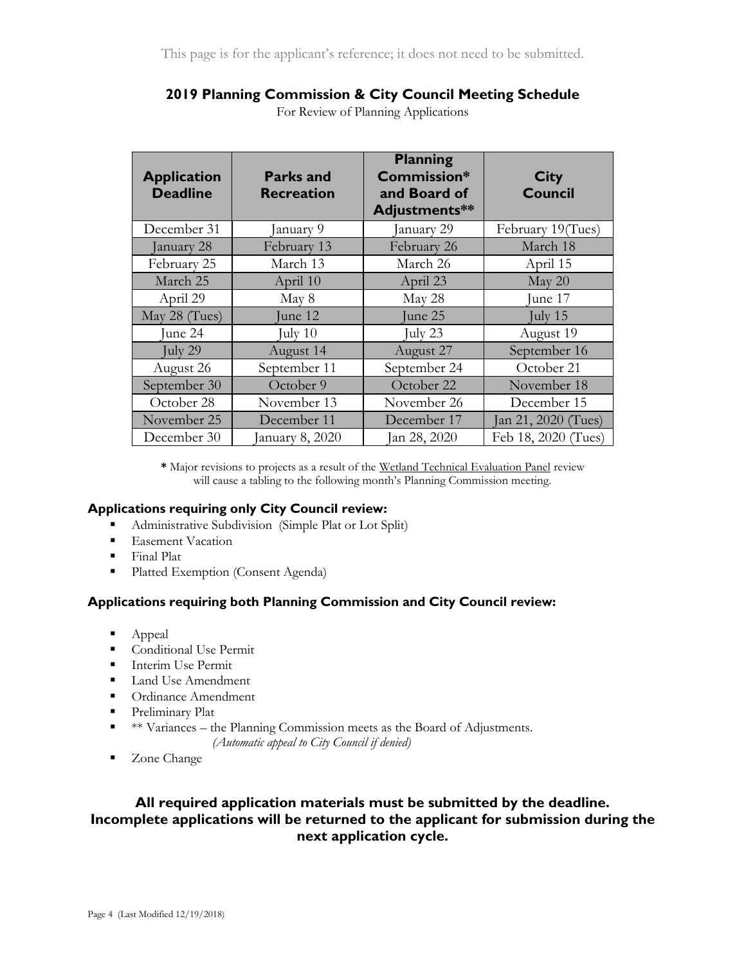## **2019 Planning Commission & City Council Meeting Schedule**

| <b>Application</b><br><b>Deadline</b> | <b>Parks and</b><br><b>Recreation</b> | <b>Planning</b><br>Commission*<br>and Board of<br>Adjustments** | <b>City</b><br><b>Council</b> |
|---------------------------------------|---------------------------------------|-----------------------------------------------------------------|-------------------------------|
| December 31                           | January 9                             | January 29                                                      | February 19(Tues)             |
| January 28                            | February 13                           | February 26                                                     | March 18                      |
| February 25                           | March 13                              | March 26                                                        | April 15                      |
| March 25                              | April 10                              | April 23                                                        | May 20                        |
| April 29                              | May 8                                 | May 28                                                          | June 17                       |
| May 28 (Tues)                         | June 12                               | June 25                                                         | July $15$                     |
| June 24                               | July $10$                             | July 23                                                         | August 19                     |
| July 29                               | August 14                             | August 27                                                       | September 16                  |
| August 26                             | September 11                          | September 24                                                    | October 21                    |
| September 30                          | October 9                             | October 22                                                      | November 18                   |
| October 28                            | November 13                           | November 26                                                     | December 15                   |
| November 25                           | December 11                           | December 17                                                     | Jan 21, 2020 (Tues)           |
| December 30                           | January 8, 2020                       | Jan 28, 2020                                                    | Feb 18, 2020 (Tues)           |

For Review of Planning Applications

**\*** Major revisions to projects as a result of the Wetland Technical Evaluation Panel review will cause a tabling to the following month's Planning Commission meeting.

#### **Applications requiring only City Council review:**

- Administrative Subdivision (Simple Plat or Lot Split)
- **Easement Vacation**
- **Final Plat**
- Platted Exemption (Consent Agenda)

#### **Applications requiring both Planning Commission and City Council review:**

- Appeal
- **Conditional Use Permit**
- **Interim Use Permit**
- **Land Use Amendment**
- Ordinance Amendment
- **Preliminary Plat**
- $*$   $*$  Variances the Planning Commission meets as the Board of Adjustments.
	- *(Automatic appeal to City Council if denied)*
- Zone Change

### **All required application materials must be submitted by the deadline. Incomplete applications will be returned to the applicant for submission during the next application cycle.**